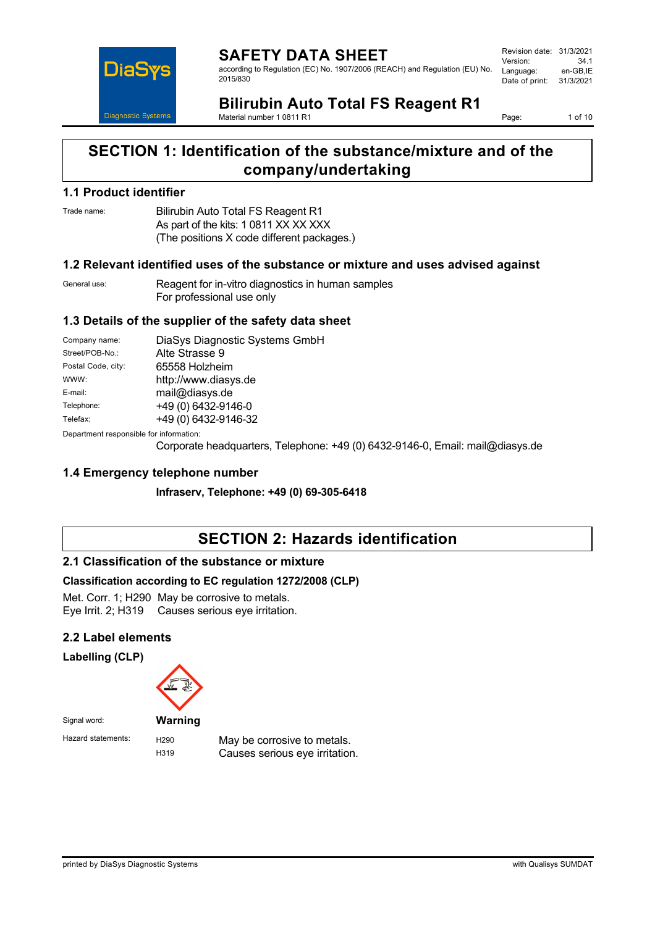

**SAFETY DATA SHEET** according to Regulation (EC) No. 1907/2006 (REACH) and Regulation (EU) No. 2015/830

Revision date: 31/3/2021 Version: 34.1 Language: Date of print: 31/3/2021

# **Bilirubin Auto Total FS Reagent R1**

Material number 1 0811 R1

Page: 1 of 10

# **SECTION 1: Identification of the substance/mixture and of the company/undertaking**

## **1.1 Product identifier**

Trade name: Bilirubin Auto Total FS Reagent R1 As part of the kits: 1 0811 XX XX XXX (The positions X code different packages.)

## **1.2 Relevant identified uses of the substance or mixture and uses advised against**

General use: Reagent for in-vitro diagnostics in human samples For professional use only

## **1.3 Details of the supplier of the safety data sheet**

| Company name:      | DiaSys Diagnostic Systems GmbH |
|--------------------|--------------------------------|
| Street/POB-No.:    | Alte Strasse 9                 |
| Postal Code, city: | 65558 Holzheim                 |
| WWW:               | http://www.diasys.de           |
| E-mail:            | mail@diasys.de                 |
| Telephone:         | +49 (0) 6432-9146-0            |
| Telefax:           | +49 (0) 6432-9146-32           |
|                    |                                |

Department responsible for information:

Corporate headquarters, Telephone: +49 (0) 6432-9146-0, Email: mail@diasys.de

## **1.4 Emergency telephone number**

**Infraserv, Telephone: +49 (0) 69-305-6418**

# **SECTION 2: Hazards identification**

## **2.1 Classification of the substance or mixture**

## **Classification according to EC regulation 1272/2008 (CLP)**

Met. Corr. 1; H290 May be corrosive to metals. Eye Irrit. 2; H319 Causes serious eye irritation.

## **2.2 Label elements**

**Labelling (CLP)**



Hazard statements: H290 May be corrosive to metals. H319 Causes serious eye irritation.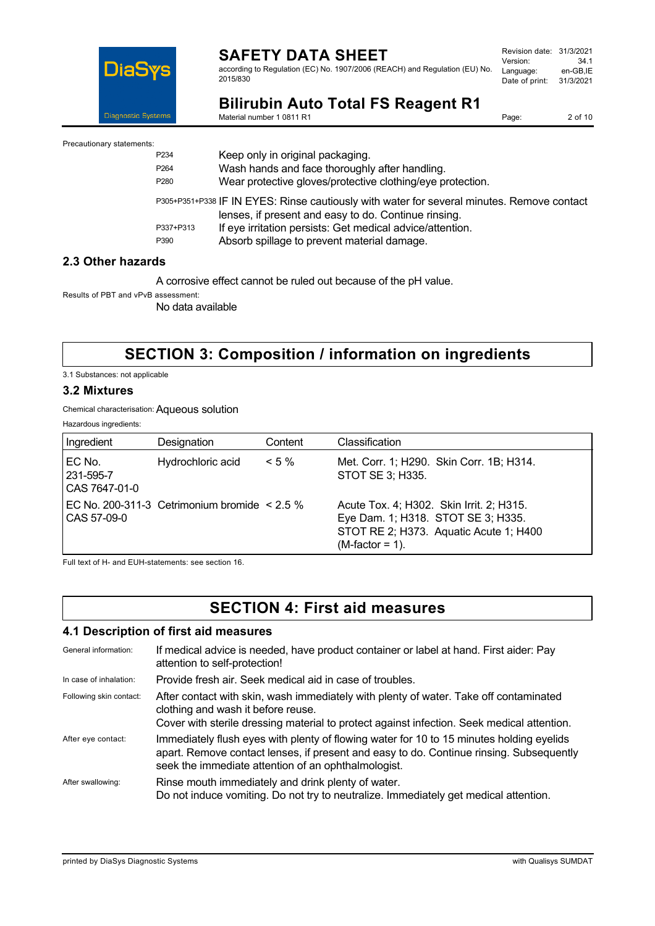

Material number 1 0811 R1

according to Regulation (EC) No. 1907/2006 (REACH) and Regulation (EU) No. 2015/830

| Revision date: | 31/3/2021 |
|----------------|-----------|
| Version:       | 34.1      |
| Language:      | en-GB.IE  |
| Date of print: | 31/3/2021 |
|                |           |

**Bilirubin Auto Total FS Reagent R1**

Page: 2 of 10

Precautionary statements:

| ,,,,,, |                  |                                                                                                                                                    |
|--------|------------------|----------------------------------------------------------------------------------------------------------------------------------------------------|
|        | P <sub>234</sub> | Keep only in original packaging.                                                                                                                   |
|        | P <sub>264</sub> | Wash hands and face thoroughly after handling.                                                                                                     |
|        | P <sub>280</sub> | Wear protective gloves/protective clothing/eye protection.                                                                                         |
|        |                  | P305+P351+P338 IF IN EYES: Rinse cautiously with water for several minutes. Remove contact<br>lenses, if present and easy to do. Continue rinsing. |
|        | P337+P313        | If eye irritation persists: Get medical advice/attention.                                                                                          |
|        | P390             | Absorb spillage to prevent material damage.                                                                                                        |
|        |                  |                                                                                                                                                    |

## **2.3 Other hazards**

A corrosive effect cannot be ruled out because of the pH value.

Results of PBT and vPvB assessment:

No data available

# **SECTION 3: Composition / information on ingredients**

3.1 Substances: not applicable

#### **3.2 Mixtures**

Chemical characterisation:Aqueous solution

Hazardous ingredients:

| Ingredient                           | Designation                                       | Content  | Classification                                                                                                                                 |
|--------------------------------------|---------------------------------------------------|----------|------------------------------------------------------------------------------------------------------------------------------------------------|
| EC No.<br>231-595-7<br>CAS 7647-01-0 | Hydrochloric acid                                 | $< 5 \%$ | Met. Corr. 1; H290. Skin Corr. 1B; H314.<br>STOT SE 3; H335.                                                                                   |
| CAS 57-09-0                          | EC No. 200-311-3 Cetrimonium bromide $\leq 2.5\%$ |          | Acute Tox. 4; H302. Skin Irrit. 2; H315.<br>Eye Dam. 1; H318. STOT SE 3; H335.<br>STOT RE 2; H373. Aquatic Acute 1; H400<br>$(M-factor = 1)$ . |

Full text of H- and EUH-statements: see section 16.

# **SECTION 4: First aid measures**

#### **4.1 Description of first aid measures**

| General information:    | If medical advice is needed, have product container or label at hand. First aider: Pay<br>attention to self-protection!                                                                                                                    |
|-------------------------|--------------------------------------------------------------------------------------------------------------------------------------------------------------------------------------------------------------------------------------------|
| In case of inhalation:  | Provide fresh air. Seek medical aid in case of troubles.                                                                                                                                                                                   |
| Following skin contact: | After contact with skin, wash immediately with plenty of water. Take off contaminated<br>clothing and wash it before reuse.<br>Cover with sterile dressing material to protect against infection. Seek medical attention.                  |
| After eye contact:      | Immediately flush eyes with plenty of flowing water for 10 to 15 minutes holding eyelids<br>apart. Remove contact lenses, if present and easy to do. Continue rinsing. Subsequently<br>seek the immediate attention of an ophthalmologist. |
| After swallowing:       | Rinse mouth immediately and drink plenty of water.<br>Do not induce vomiting. Do not try to neutralize. Immediately get medical attention.                                                                                                 |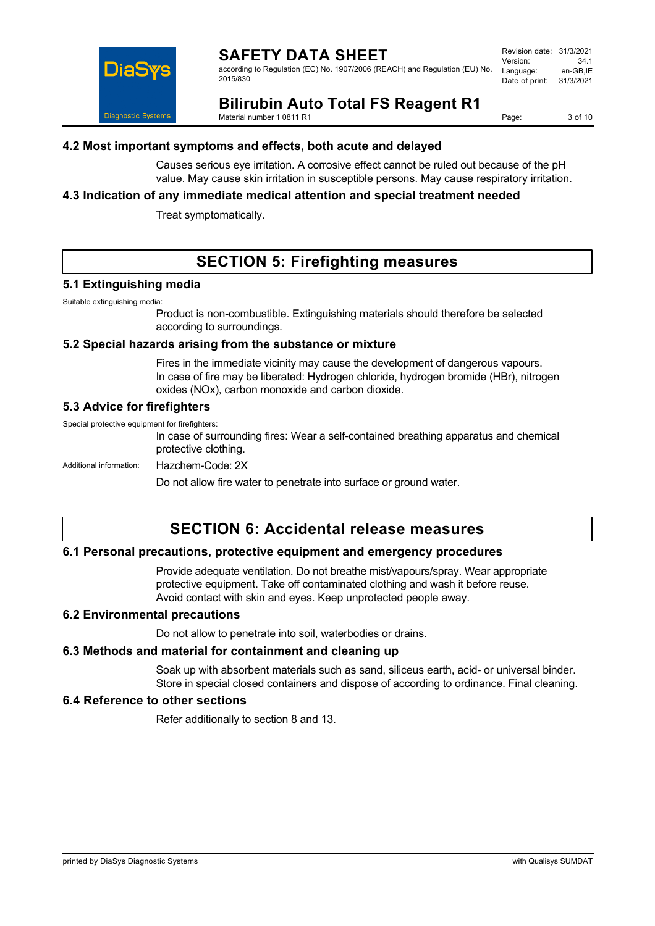according to Regulation (EC) No. 1907/2006 (REACH) and Regulation (EU) No. 2015/830

| Revision date: | 31/3/2021 |
|----------------|-----------|
| Version:       | 34.1      |
| Language:      | en-GB.IE  |
| Date of print: | 31/3/2021 |



**Bilirubin Auto Total FS Reagent R1** Material number 1 0811 R1

Page: 3 of 10

## **4.2 Most important symptoms and effects, both acute and delayed**

Causes serious eye irritation. A corrosive effect cannot be ruled out because of the pH value. May cause skin irritation in susceptible persons. May cause respiratory irritation.

## **4.3 Indication of any immediate medical attention and special treatment needed**

Treat symptomatically.

# **SECTION 5: Firefighting measures**

#### **5.1 Extinguishing media**

Suitable extinguishing media:

Product is non-combustible. Extinguishing materials should therefore be selected according to surroundings.

#### **5.2 Special hazards arising from the substance or mixture**

Fires in the immediate vicinity may cause the development of dangerous vapours. In case of fire may be liberated: Hydrogen chloride, hydrogen bromide (HBr), nitrogen oxides (NOx), carbon monoxide and carbon dioxide.

## **5.3 Advice for firefighters**

Special protective equipment for firefighters:

In case of surrounding fires: Wear a self-contained breathing apparatus and chemical protective clothing.

Additional information: Hazchem-Code: 2X

Do not allow fire water to penetrate into surface or ground water.

## **SECTION 6: Accidental release measures**

## **6.1 Personal precautions, protective equipment and emergency procedures**

Provide adequate ventilation. Do not breathe mist/vapours/spray. Wear appropriate protective equipment. Take off contaminated clothing and wash it before reuse. Avoid contact with skin and eyes. Keep unprotected people away.

#### **6.2 Environmental precautions**

Do not allow to penetrate into soil, waterbodies or drains.

#### **6.3 Methods and material for containment and cleaning up**

Soak up with absorbent materials such as sand, siliceus earth, acid- or universal binder. Store in special closed containers and dispose of according to ordinance. Final cleaning.

## **6.4 Reference to other sections**

Refer additionally to section 8 and 13.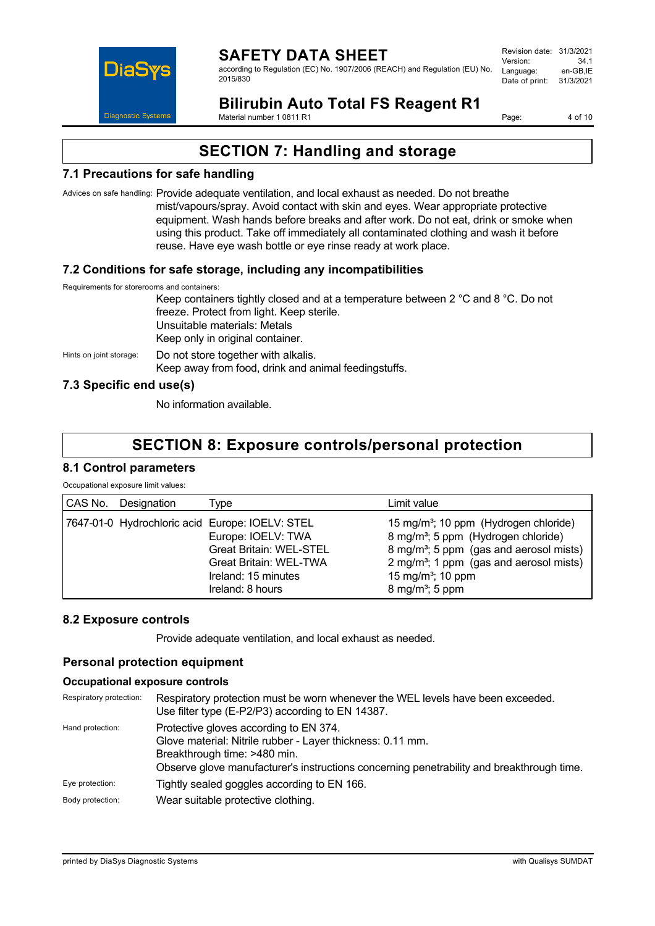

according to Regulation (EC) No. 1907/2006 (REACH) and Regulation (EU) No. 2015/830

Revision date: 31/3/2021 Version: 34.1 Language: Date of print: 31/3/2021

# **Bilirubin Auto Total FS Reagent R1**

Material number 1 0811 R1

Page: 4 of 10

# **SECTION 7: Handling and storage**

## **7.1 Precautions for safe handling**

Advices on safe handling: Provide adequate ventilation, and local exhaust as needed. Do not breathe mist/vapours/spray. Avoid contact with skin and eyes. Wear appropriate protective equipment. Wash hands before breaks and after work. Do not eat, drink or smoke when using this product. Take off immediately all contaminated clothing and wash it before reuse. Have eye wash bottle or eye rinse ready at work place.

## **7.2 Conditions for safe storage, including any incompatibilities**

Requirements for storerooms and containers:

Keep containers tightly closed and at a temperature between 2 °C and 8 °C. Do not freeze. Protect from light. Keep sterile. Unsuitable materials: Metals Keep only in original container. Hints on joint storage: Do not store together with alkalis. Keep away from food, drink and animal feedingstuffs.

## **7.3 Specific end use(s)**

No information available.

# **SECTION 8: Exposure controls/personal protection**

## **8.1 Control parameters**

Occupational exposure limit values:

| CAS No. Designation | Type                                                                                                                                                                                | Limit value                                                                                                                                                                                                                                                                        |
|---------------------|-------------------------------------------------------------------------------------------------------------------------------------------------------------------------------------|------------------------------------------------------------------------------------------------------------------------------------------------------------------------------------------------------------------------------------------------------------------------------------|
|                     | 7647-01-0 Hydrochloric acid Europe: IOELV: STEL<br>Europe: IOELV: TWA<br><b>Great Britain: WEL-STEL</b><br><b>Great Britain: WEL-TWA</b><br>Ireland: 15 minutes<br>Ireland: 8 hours | 15 mg/m <sup>3</sup> ; 10 ppm (Hydrogen chloride)<br>8 mg/m <sup>3</sup> ; 5 ppm (Hydrogen chloride)<br>8 mg/m <sup>3</sup> ; 5 ppm (gas and aerosol mists)<br>2 mg/m <sup>3</sup> ; 1 ppm (gas and aerosol mists)<br>15 mg/m <sup>3</sup> ; 10 ppm<br>8 mg/m <sup>3</sup> ; 5 ppm |

## **8.2 Exposure controls**

Provide adequate ventilation, and local exhaust as needed.

## **Personal protection equipment**

## **Occupational exposure controls**

| Respiratory protection: | Respiratory protection must be worn whenever the WEL levels have been exceeded.<br>Use filter type (E-P2/P3) according to EN 14387.                                                                                               |
|-------------------------|-----------------------------------------------------------------------------------------------------------------------------------------------------------------------------------------------------------------------------------|
| Hand protection:        | Protective gloves according to EN 374.<br>Glove material: Nitrile rubber - Layer thickness: 0.11 mm.<br>Breakthrough time: >480 min.<br>Observe glove manufacturer's instructions concerning penetrability and breakthrough time. |
| Eye protection:         | Tightly sealed goggles according to EN 166.                                                                                                                                                                                       |
| Body protection:        | Wear suitable protective clothing.                                                                                                                                                                                                |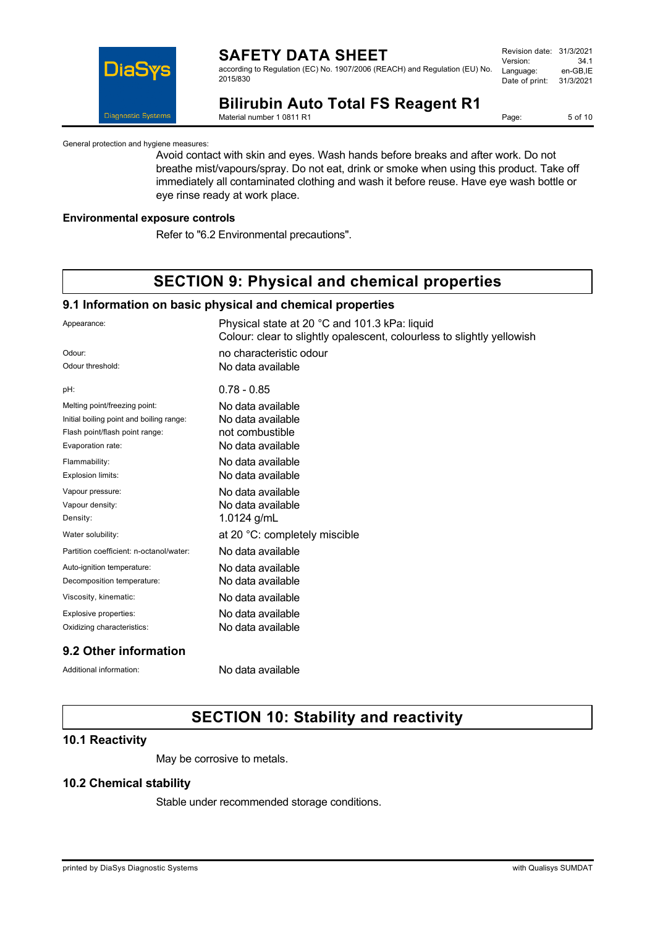

according to Regulation (EC) No. 1907/2006 (REACH) and Regulation (EU) No. 2015/830

| 31/3/2021 |
|-----------|
| 34.1      |
| en-GB,IE  |
| 31/3/2021 |
|           |

# **Bilirubin Auto Total FS Reagent R1**

Material number 1 0811 R1

Page: 5 of 10

General protection and hygiene measures:

Avoid contact with skin and eyes. Wash hands before breaks and after work. Do not breathe mist/vapours/spray. Do not eat, drink or smoke when using this product. Take off immediately all contaminated clothing and wash it before reuse. Have eye wash bottle or eye rinse ready at work place.

#### **Environmental exposure controls**

Refer to "6.2 Environmental precautions".

# **SECTION 9: Physical and chemical properties**

#### **9.1 Information on basic physical and chemical properties**

| Appearance:                              | Physical state at 20 °C and 101.3 kPa: liquid<br>Colour: clear to slightly opalescent, colourless to slightly yellowish |
|------------------------------------------|-------------------------------------------------------------------------------------------------------------------------|
| Odour:                                   | no characteristic odour                                                                                                 |
| Odour threshold:                         | No data available                                                                                                       |
| pH:                                      | $0.78 - 0.85$                                                                                                           |
| Melting point/freezing point:            | No data available                                                                                                       |
| Initial boiling point and boiling range: | No data available                                                                                                       |
| Flash point/flash point range:           | not combustible                                                                                                         |
| Evaporation rate:                        | No data available                                                                                                       |
| Flammability:                            | No data available                                                                                                       |
| Explosion limits:                        | No data available                                                                                                       |
| Vapour pressure:                         | No data available                                                                                                       |
| Vapour density:                          | No data available                                                                                                       |
| Density:                                 | 1.0124 g/mL                                                                                                             |
| Water solubility:                        | at 20 °C: completely miscible                                                                                           |
| Partition coefficient: n-octanol/water:  | No data available                                                                                                       |
| Auto-ignition temperature:               | No data available                                                                                                       |
| Decomposition temperature:               | No data available                                                                                                       |
| Viscosity, kinematic:                    | No data available                                                                                                       |
| Explosive properties:                    | No data available                                                                                                       |
| Oxidizing characteristics:               | No data available                                                                                                       |

## **9.2 Other information**

Additional information: No data available

# **SECTION 10: Stability and reactivity**

## **10.1 Reactivity**

May be corrosive to metals.

## **10.2 Chemical stability**

Stable under recommended storage conditions.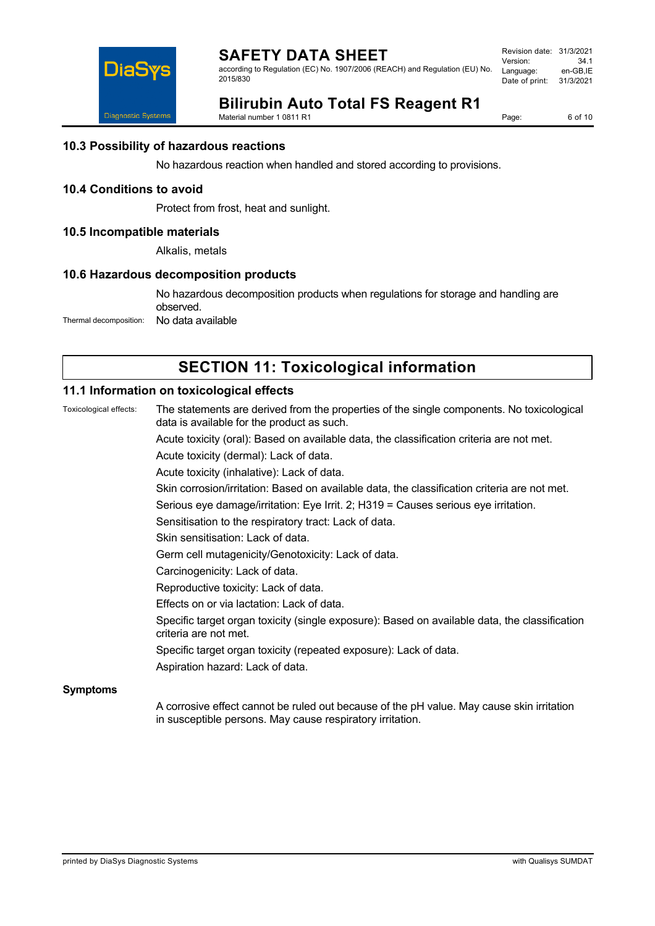

according to Regulation (EC) No. 1907/2006 (REACH) and Regulation (EU) No. 2015/830

| 31/3/2021 |
|-----------|
| 34.1      |
| en-GB.IE  |
| 31/3/2021 |
|           |



# **Bilirubin Auto Total FS Reagent R1**

Material number 1 0811 R1

Page: 6 of 10

## **10.3 Possibility of hazardous reactions**

No hazardous reaction when handled and stored according to provisions.

#### **10.4 Conditions to avoid**

Protect from frost, heat and sunlight.

#### **10.5 Incompatible materials**

Alkalis, metals

#### **10.6 Hazardous decomposition products**

No hazardous decomposition products when regulations for storage and handling are observed. Thermal decomposition: No data available

## **SECTION 11: Toxicological information**

## **11.1 Information on toxicological effects**

Toxicological effects: The statements are derived from the properties of the single components. No toxicological data is available for the product as such. Acute toxicity (oral): Based on available data, the classification criteria are not met. Acute toxicity (dermal): Lack of data. Acute toxicity (inhalative): Lack of data. Skin corrosion/irritation: Based on available data, the classification criteria are not met. Serious eye damage/irritation: Eye Irrit. 2; H319 = Causes serious eye irritation. Sensitisation to the respiratory tract: Lack of data. Skin sensitisation: Lack of data. Germ cell mutagenicity/Genotoxicity: Lack of data. Carcinogenicity: Lack of data. Reproductive toxicity: Lack of data. Effects on or via lactation: Lack of data. Specific target organ toxicity (single exposure): Based on available data, the classification criteria are not met. Specific target organ toxicity (repeated exposure): Lack of data. Aspiration hazard: Lack of data. **Symptoms** A corrosive effect cannot be ruled out because of the pH value. May cause skin irritation in susceptible persons. May cause respiratory irritation.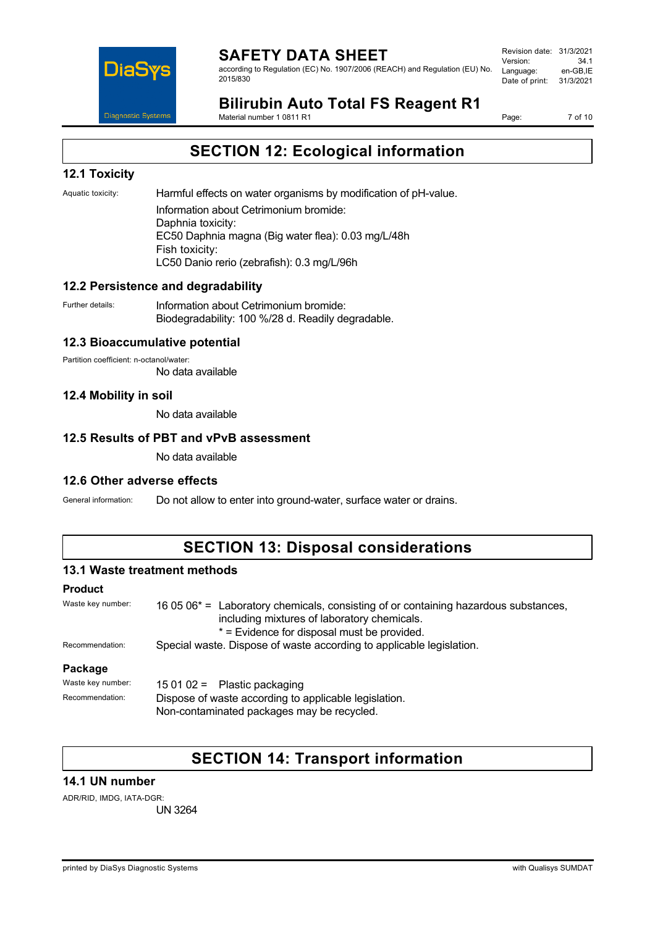

according to Regulation (EC) No. 1907/2006 (REACH) and Regulation (EU) No. 2015/830

Revision date: 31/3/2021 Version: 34.1 Language: Date of print: 31/3/2021

# **Bilirubin Auto Total FS Reagent R1**

Material number 1 0811 R1

Page: 7 of 10

# **SECTION 12: Ecological information**

## **12.1 Toxicity**

Aquatic toxicity: Harmful effects on water organisms by modification of pH-value. Information about Cetrimonium bromide: Daphnia toxicity: EC50 Daphnia magna (Big water flea): 0.03 mg/L/48h Fish toxicity: LC50 Danio rerio (zebrafish): 0.3 mg/L/96h

## **12.2 Persistence and degradability**

Further details: **Information about Cetrimonium bromide:** Biodegradability: 100 %/28 d. Readily degradable.

## **12.3 Bioaccumulative potential**

Partition coefficient: n-octanol/water: No data available

## **12.4 Mobility in soil**

No data available

## **12.5 Results of PBT and vPvB assessment**

No data available

## **12.6 Other adverse effects**

General information: Do not allow to enter into ground-water, surface water or drains.

## **SECTION 13: Disposal considerations**

## **13.1 Waste treatment methods**

## **Product**

| Waste key number: | 16 05 06 $*$ = Laboratory chemicals, consisting of or containing hazardous substances,<br>including mixtures of laboratory chemicals.<br>* = Evidence for disposal must be provided. |  |
|-------------------|--------------------------------------------------------------------------------------------------------------------------------------------------------------------------------------|--|
| Recommendation:   | Special waste. Dispose of waste according to applicable legislation.                                                                                                                 |  |
| Package           |                                                                                                                                                                                      |  |
| Waste key number: | 15 01 02 = Plastic packaging                                                                                                                                                         |  |
| Recommendation:   | Dispose of waste according to applicable legislation.                                                                                                                                |  |

Non-contaminated packages may be recycled.

## **SECTION 14: Transport information**

## **14.1 UN number**

ADR/RID, IMDG, IATA-DGR: UN 3264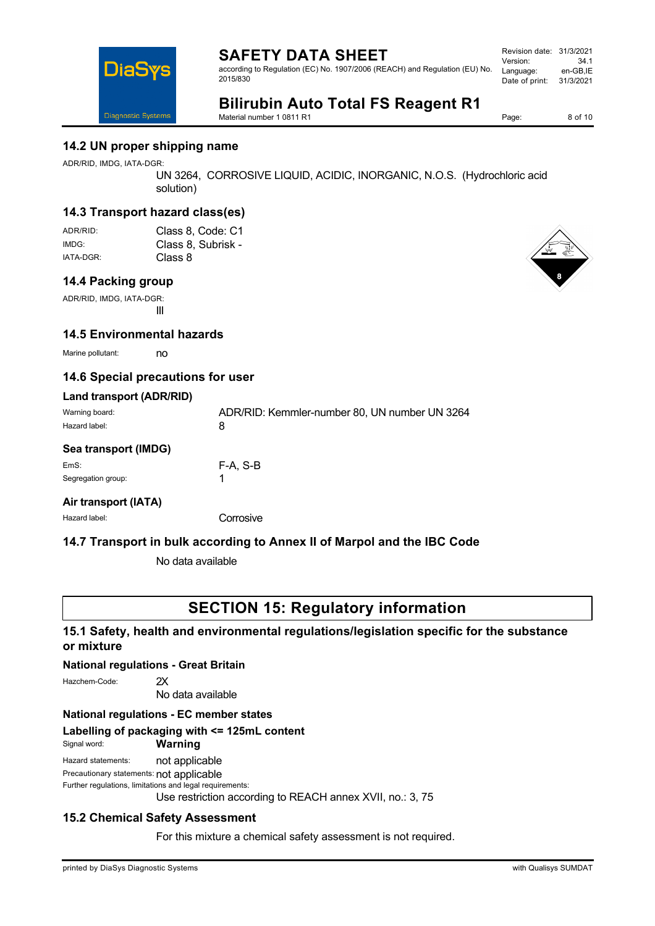according to Regulation (EC) No. 1907/2006 (REACH) and Regulation (EU) No. 2015/830

| 31/3/2021 |
|-----------|
| 34.1      |
| en-GB.IE  |
| 31/3/2021 |
|           |

# **Bilirubin Auto Total FS Reagent R1**

Material number 1 0811 R1

Page: 8 of 10

## **14.2 UN proper shipping name**

ADR/RID, IMDG, IATA-DGR:

**DiaS** 

**Diagnostic Systems** 

UN 3264, CORROSIVE LIQUID, ACIDIC, INORGANIC, N.O.S. (Hydrochloric acid solution)

## **14.3 Transport hazard class(es)**

| ADR/RID:  | Class 8, Code: C1  |
|-----------|--------------------|
| IMDG:     | Class 8, Subrisk - |
| IATA-DGR: | Class 8            |

## **14.4 Packing group**

ADR/RID, IMDG, IATA-DGR: III

## **14.5 Environmental hazards**

Marine pollutant: no

## **14.6 Special precautions for user**

| Land transport (ADR/RID)        |                                                    |
|---------------------------------|----------------------------------------------------|
| Warning board:<br>Hazard label: | ADR/RID: Kemmler-number 80, UN number UN 3264<br>8 |
| Sea transport (IMDG)            |                                                    |
| EmS:                            | F-A. S-B                                           |
| Segregation group:              |                                                    |
| Airtrananart (IATA)             |                                                    |

**Air transport (IATA)**

Hazard label: Corrosive

## **14.7 Transport in bulk according to Annex II of Marpol and the IBC Code**

No data available

## **SECTION 15: Regulatory information**

## **15.1 Safety, health and environmental regulations/legislation specific for the substance or mixture**

#### **National regulations - Great Britain**

Hazchem-Code: 2X

No data available

## **National regulations - EC member states**

## **Labelling of packaging with <= 125mL content**

#### Signal word: **Warning**

Hazard statements: not applicable

Precautionary statements: not applicable

Further regulations, limitations and legal requirements:

Use restriction according to REACH annex XVII, no.: 3, 75

## **15.2 Chemical Safety Assessment**

For this mixture a chemical safety assessment is not required.

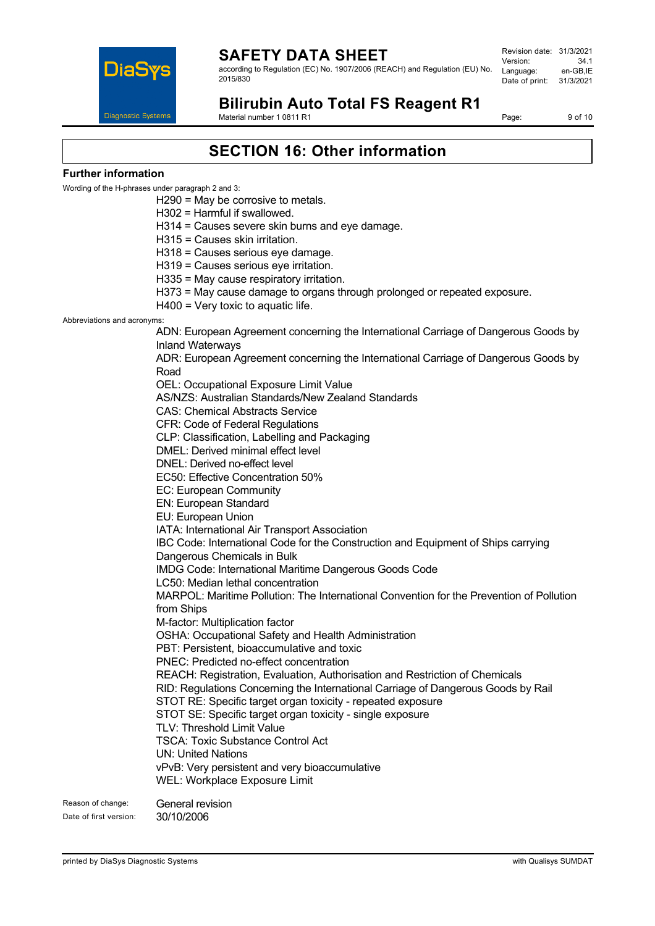

according to Regulation (EC) No. 1907/2006 (REACH) and Regulation (EU) No. 2015/830

Revision date: 31/3/2021 Version: 34.1 Language: Date of print: 31/3/2021

**Bilirubin Auto Total FS Reagent R1** Material number 1 0811 R1

Page: 9 of 10

# **SECTION 16: Other information**

#### **Further information**

Wording of the H-phrases under paragraph 2 and 3:

H290 = May be corrosive to metals.

H302 = Harmful if swallowed.

H314 = Causes severe skin burns and eye damage.

H315 = Causes skin irritation.

H318 = Causes serious eye damage.

H319 = Causes serious eye irritation.

H335 = May cause respiratory irritation.

H373 = May cause damage to organs through prolonged or repeated exposure.

H400 = Very toxic to aquatic life.

Abbreviations and acronyms:

ADN: European Agreement concerning the International Carriage of Dangerous Goods by Inland Waterways

ADR: European Agreement concerning the International Carriage of Dangerous Goods by Road

OEL: Occupational Exposure Limit Value

AS/NZS: Australian Standards/New Zealand Standards

CAS: Chemical Abstracts Service

CFR: Code of Federal Regulations

CLP: Classification, Labelling and Packaging

DMEL: Derived minimal effect level

DNEL: Derived no-effect level

EC50: Effective Concentration 50%

EC: European Community

EN: European Standard

EU: European Union

IATA: International Air Transport Association

IBC Code: International Code for the Construction and Equipment of Ships carrying

Dangerous Chemicals in Bulk

IMDG Code: International Maritime Dangerous Goods Code

LC50: Median lethal concentration

MARPOL: Maritime Pollution: The International Convention for the Prevention of Pollution from Ships

M-factor: Multiplication factor

OSHA: Occupational Safety and Health Administration

PBT: Persistent, bioaccumulative and toxic

PNEC: Predicted no-effect concentration

REACH: Registration, Evaluation, Authorisation and Restriction of Chemicals

RID: Regulations Concerning the International Carriage of Dangerous Goods by Rail

STOT RE: Specific target organ toxicity - repeated exposure

STOT SE: Specific target organ toxicity - single exposure

TLV: Threshold Limit Value

TSCA: Toxic Substance Control Act UN: United Nations

vPvB: Very persistent and very bioaccumulative WEL: Workplace Exposure Limit

Reason of change: General revision Date of first version: 30/10/2006

printed by DiaSys Diagnostic Systems with Qualisys SUMDAT